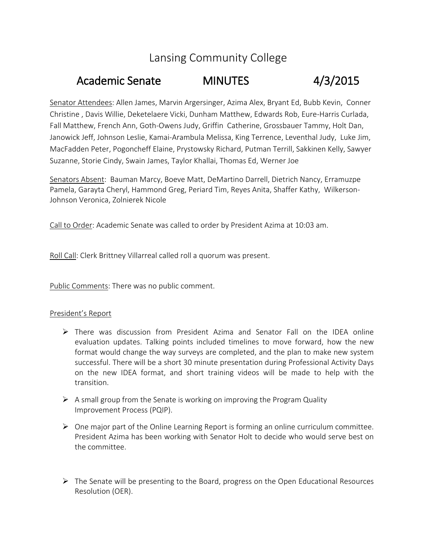# Lansing Community College

# Academic Senate MINUTES 4/3/2015

Senator Attendees: Allen James, Marvin Argersinger, Azima Alex, Bryant Ed, Bubb Kevin, Conner Christine , Davis Willie, Deketelaere Vicki, Dunham Matthew, Edwards Rob, Eure-Harris Curlada, Fall Matthew, French Ann, Goth-Owens Judy, Griffin Catherine, Grossbauer Tammy, Holt Dan, Janowick Jeff, Johnson Leslie, Kamai-Arambula Melissa, King Terrence, Leventhal Judy, Luke Jim, MacFadden Peter, Pogoncheff Elaine, Prystowsky Richard, Putman Terrill, Sakkinen Kelly, Sawyer Suzanne, Storie Cindy, Swain James, Taylor Khallai, Thomas Ed, Werner Joe

Senators Absent: Bauman Marcy, Boeve Matt, DeMartino Darrell, Dietrich Nancy, Erramuzpe Pamela, Garayta Cheryl, Hammond Greg, Periard Tim, Reyes Anita, Shaffer Kathy, Wilkerson-Johnson Veronica, Zolnierek Nicole

Call to Order: Academic Senate was called to order by President Azima at 10:03 am.

Roll Call: Clerk Brittney Villarreal called roll a quorum was present.

Public Comments: There was no public comment.

#### President's Report

- There was discussion from President Azima and Senator Fall on the IDEA online evaluation updates. Talking points included timelines to move forward, how the new format would change the way surveys are completed, and the plan to make new system successful. There will be a short 30 minute presentation during Professional Activity Days on the new IDEA format, and short training videos will be made to help with the transition.
- $\triangleright$  A small group from the Senate is working on improving the Program Quality Improvement Process (PQIP).
- $\triangleright$  One major part of the Online Learning Report is forming an online curriculum committee. President Azima has been working with Senator Holt to decide who would serve best on the committee.
- $\triangleright$  The Senate will be presenting to the Board, progress on the Open Educational Resources Resolution (OER).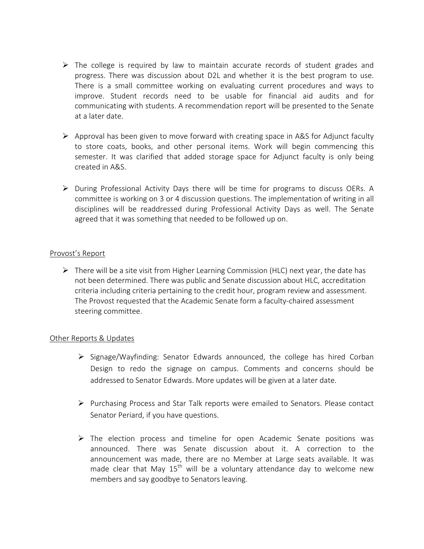- $\triangleright$  The college is required by law to maintain accurate records of student grades and progress. There was discussion about D2L and whether it is the best program to use. There is a small committee working on evaluating current procedures and ways to improve. Student records need to be usable for financial aid audits and for communicating with students. A recommendation report will be presented to the Senate at a later date.
- $\triangleright$  Approval has been given to move forward with creating space in A&S for Adjunct faculty to store coats, books, and other personal items. Work will begin commencing this semester. It was clarified that added storage space for Adjunct faculty is only being created in A&S.
- $\triangleright$  During Professional Activity Days there will be time for programs to discuss OERs. A committee is working on 3 or 4 discussion questions. The implementation of writing in all disciplines will be readdressed during Professional Activity Days as well. The Senate agreed that it was something that needed to be followed up on.

#### Provost's Report

 $\triangleright$  There will be a site visit from Higher Learning Commission (HLC) next year, the date has not been determined. There was public and Senate discussion about HLC, accreditation criteria including criteria pertaining to the credit hour, program review and assessment. The Provost requested that the Academic Senate form a faculty-chaired assessment steering committee.

#### Other Reports & Updates

- $\triangleright$  Signage/Wayfinding: Senator Edwards announced, the college has hired Corban Design to redo the signage on campus. Comments and concerns should be addressed to Senator Edwards. More updates will be given at a later date.
- $\triangleright$  Purchasing Process and Star Talk reports were emailed to Senators. Please contact Senator Periard, if you have questions.
- $\triangleright$  The election process and timeline for open Academic Senate positions was announced. There was Senate discussion about it. A correction to the announcement was made, there are no Member at Large seats available. It was made clear that May  $15<sup>th</sup>$  will be a voluntary attendance day to welcome new members and say goodbye to Senators leaving.